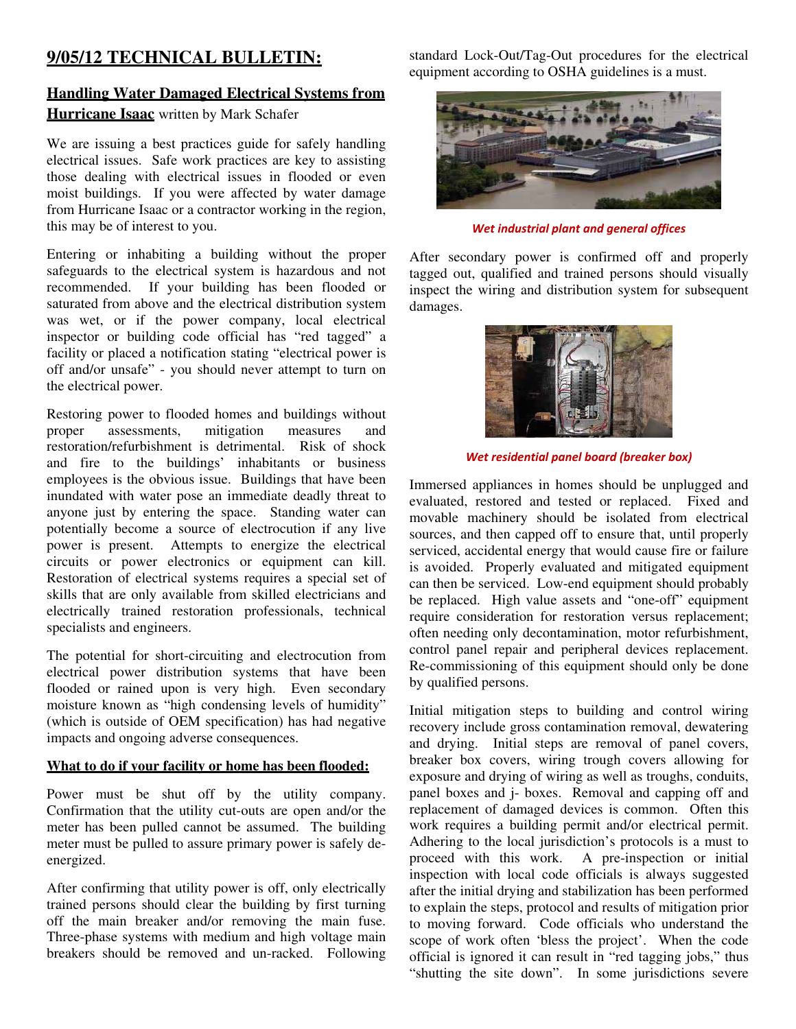## **9/05/12 TECHNICAL BULLETIN:**

## **Handling Water Damaged Electrical Systems from Hurricane Isaac** written by Mark Schafer

We are issuing a best practices guide for safely handling electrical issues. Safe work practices are key to assisting those dealing with electrical issues in flooded or even moist buildings. If you were affected by water damage from Hurricane Isaac or a contractor working in the region, this may be of interest to you.

Entering or inhabiting a building without the proper safeguards to the electrical system is hazardous and not recommended. If your building has been flooded or saturated from above and the electrical distribution system was wet, or if the power company, local electrical inspector or building code official has "red tagged" a facility or placed a notification stating "electrical power is off and/or unsafe" - you should never attempt to turn on the electrical power.

Restoring power to flooded homes and buildings without<br>proper assessments, mitigation measures and proper assessments, mitigation measures and restoration/refurbishment is detrimental. Risk of shock and fire to the buildings' inhabitants or business employees is the obvious issue. Buildings that have been inundated with water pose an immediate deadly threat to anyone just by entering the space. Standing water can potentially become a source of electrocution if any live power is present. Attempts to energize the electrical circuits or power electronics or equipment can kill. Restoration of electrical systems requires a special set of skills that are only available from skilled electricians and electrically trained restoration professionals, technical specialists and engineers.

The potential for short-circuiting and electrocution from electrical power distribution systems that have been flooded or rained upon is very high. Even secondary moisture known as "high condensing levels of humidity" (which is outside of OEM specification) has had negative impacts and ongoing adverse consequences.

## **What to do if your facility or home has been flooded:**

Power must be shut off by the utility company. Confirmation that the utility cut-outs are open and/or the meter has been pulled cannot be assumed. The building meter must be pulled to assure primary power is safely deenergized.

After confirming that utility power is off, only electrically trained persons should clear the building by first turning off the main breaker and/or removing the main fuse. Three-phase systems with medium and high voltage main breakers should be removed and un-racked. Following

standard Lock-Out/Tag-Out procedures for the electrical equipment according to OSHA guidelines is a must.



*Wet industrial plant and general offices*

After secondary power is confirmed off and properly tagged out, qualified and trained persons should visually inspect the wiring and distribution system for subsequent damages.



*Wet residential panel board (breaker box)*

Immersed appliances in homes should be unplugged and evaluated, restored and tested or replaced. Fixed and movable machinery should be isolated from electrical sources, and then capped off to ensure that, until properly serviced, accidental energy that would cause fire or failure is avoided. Properly evaluated and mitigated equipment can then be serviced. Low-end equipment should probably be replaced. High value assets and "one-off" equipment require consideration for restoration versus replacement; often needing only decontamination, motor refurbishment, control panel repair and peripheral devices replacement. Re-commissioning of this equipment should only be done by qualified persons.

Initial mitigation steps to building and control wiring recovery include gross contamination removal, dewatering and drying. Initial steps are removal of panel covers, breaker box covers, wiring trough covers allowing for exposure and drying of wiring as well as troughs, conduits, panel boxes and j- boxes. Removal and capping off and replacement of damaged devices is common. Often this work requires a building permit and/or electrical permit. Adhering to the local jurisdiction's protocols is a must to proceed with this work. A pre-inspection or initial A pre-inspection or initial inspection with local code officials is always suggested after the initial drying and stabilization has been performed to explain the steps, protocol and results of mitigation prior to moving forward. Code officials who understand the scope of work often 'bless the project'. When the code official is ignored it can result in "red tagging jobs," thus "shutting the site down". In some jurisdictions severe